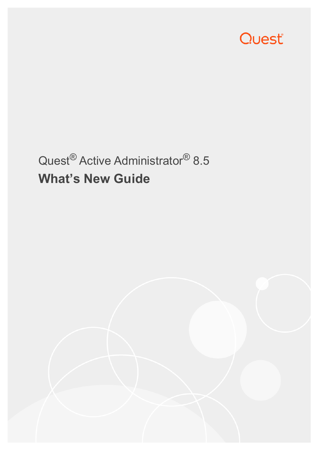

# Quest® Active Administrator® 8.5 **What's New Guide**

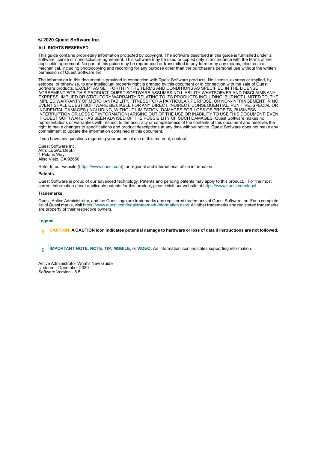#### **© 2020 Quest Software Inc.**

#### **ALL RIGHTS RESERVED.**

This guide contains proprietary information protected by copyright. The software described in this guide is furnished under a software license or nondisclosure agreement. This software may be used or copied only in accordance with the terms of the applicable agreement. No part of this guide may be reproduced or transmitted in any form or by any means, electronic or mechanical, including photocopying and recording for any purpose other than the purchaser's personal use without the written permission of Quest Software Inc.

The information in this document is provided in connection with Quest Software products. No license, express or implied, by estoppel or otherwise, to any intellectual property right is granted by this document or in connection with the sale of Quest Software products. EXCEPT AS SET FORTH IN THE TERMS AND CONDITIONS AS SPECIFIED IN THE LICENSE AGREEMENT FOR THIS PRODUCT, QUEST SOFTWARE ASSUMES NO LIABILITY WHATSOEVER AND DISCLAIMS ANY EXPRESS, IMPLIED OR STATUTORY WARRANTY RELATING TO ITS PRODUCTS INCLUDING, BUT NOT LIMITED TO, THE IMPLIED WARRANTY OF MERCHANTABILITY, FITNESS FOR A PARTICULAR PURPOSE, OR NON-INFRINGEMENT. IN NO EVENT SHALL QUEST SOFTWARE BE LIABLE FOR ANY DIRECT, INDIRECT, CONSEQUENTIAL, PUNITIVE, SPECIAL OR INCIDENTAL DAMAGES (INCLUDING, WITHOUT LIMITATION, DAMAGES FOR LOSS OF PROFITS, BUSINESS INTERRUPTION OR LOSS OF INFORMATION) ARISING OUT OF THE USE OR INABILITY TO USE THIS DOCUMENT, EVEN IF QUEST SOFTWARE HAS BEEN ADVISED OF THE POSSIBILITY OF SUCH DAMAGES. Quest Software makes no representations or warranties with respect to the accuracy or completeness of the contents of this document and reserves the right to make changes to specifications and product descriptions at any time without notice. Quest Software does not make any commitment to update the information contained in this document.

If you have any questions regarding your potential use of this material, contact:

Quest Software Inc. Attn: LEGAL Dept. 4 Polaris Way Aliso Viejo, CA 92656

Refer to our website [\(https://www.quest.com](https://www.quest.com)) for regional and international office information.

#### **Patents**

Quest Software is proud of our advanced technology. Patents and pending patents may apply to this product. For the most current information about applicable patents for this product, please visit our website at [https://www.quest.com/legal.](https://www.quest.com/legal)

#### **Trademarks**

Quest, Active Administrator, and the Quest logo are trademarks and registered trademarks of Quest Software Inc. For a complete list of Quest marks, visit <https://www.quest.com/legal/trademark-information.aspx>. All other trademarks and registered trademarks are property of their respective owners.

#### **Legend**

**CAUTION: A CAUTION icon indicates potential damage to hardware or loss of data if instructions are not followed.**

**IMPORTANT NOTE**, **NOTE**, **TIP**, **MOBILE**, or **VIDEO:** An information icon indicates supporting information.f

Active Administrator What's New Guide Updated - December 2020 Software Version - 8.5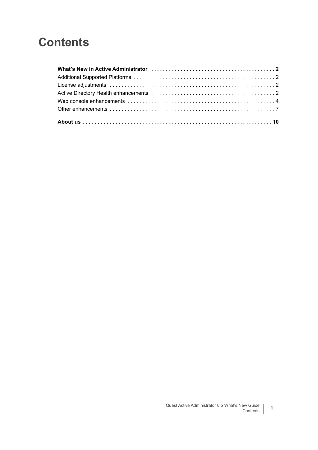# **Contents**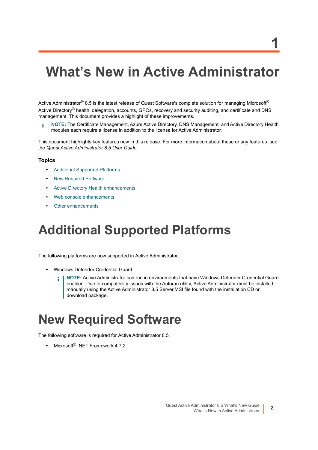# <span id="page-3-0"></span>**What's New in Active Administrator**

Active Administrator<sup>®</sup> 8.5 is the latest release of Quest Software's complete solution for managing Microsoft<sup>®</sup> Active Directory<sup>®</sup> health, delegation, accounts, GPOs, recovery and security auditing, and certificate and DNS management. This document provides a highlight of these improvements.

**NOTE:** The Certificate Management, Azure Active Directory, DNS Management, and Active Directory Health modules each require a license in addition to the license for Active Administrator.

This document highlights key features new in this release. For more information about these or any features, see the *Quest Active Administrator 8.5 User Guide*.

#### **Topics**

- **•** [Additional Supported Platforms](#page-3-1)
- **•** [New Required Software](#page-3-2)
- **•** [Active Directory Health enhancements](#page-4-0)
- **•** [Web console enhancements](#page-4-1)
- **•** [Other enhancements](#page-5-0)

# <span id="page-3-1"></span>**Additional Supported Platforms**

The following platforms are now supported in Active Administrator.

- **•** Windows Defender Credential Guard
	- **NOTE:** Active Administrator can run in environments that have Windows Defender Credential Guard f. enabled. Due to compatibility issues with the Autorun utility, Active Administrator must be installed manually using the Active Administrator 8.5 Server.MSI file found with the installation CD or download package.

# <span id="page-3-2"></span>**New Required Software**

The following software is required for Active Administrator 8.5.

**•** Microsoft® .NET Framework 4.7.2

**1**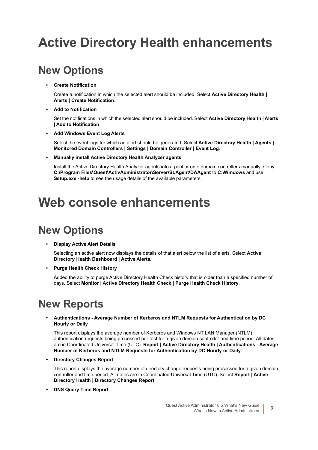# <span id="page-4-0"></span>**Active Directory Health enhancements**

## **New Options**

**• Create Notification**

Create a notification in which the selected alert should be included. Select **Active Directory Health | Alerts | Create Notification**.

**• Add to Notification**

Set the notifications in which the selected alert should be included. Select **Active Directory Health | Alerts | Add to Notification**.

**• Add Windows Event Log Alerts**

Select the event logs for which an alert should be generated. Select **Active Directory Health | Agents | Monitored Domain Controllers | Settings | Domain Controller | Event Log**.

**• Manually install Active Directory Health Analyzer agents**

Install the Active Directory Health Analyzer agents into a pool or onto domain controllers manually. Copy **C:\Program Files\Quest\ActivAdministrator\Server\SLAgent\DAAgent** to **C:\Windows** and use **Setup.exe -help** to see the usage details of the available parameters.

# <span id="page-4-1"></span>**Web console enhancements**

## **New Options**

#### **• Display Active Alert Details**

Selecting an active alert now displays the details of that alert below the list of alerts. Select **Active Directory Health Dashboard | Active Alerts.**

**• Purge Health Check History**

Added the ability to purge Active Directory Health Check history that is older than a specified number of days. Select **Monitor | Active Directory Health Check | Purge Health Check History**.

## **New Reports**

**• Authentications - Average Number of Kerberos and NTLM Requests for Authentication by DC Hourly or Daily**

This report displays the average number of Kerberos and Windows NT LAN Manager (NTLM) authentication requests being processed per test for a given domain controller and time period. All dates are in Coordinated Universal Time (UTC). **Report | Active Directory Health | Authentications - Average Number of Kerberos and NTLM Requests for Authentication by DC Hourly or Daily**.

**• Directory Changes Report**

This report displays the average number of directory change requests being processed for a given domain controller and time period. All dates are in Coordinated Universal Time (UTC). Select **Report | Active Directory Health | Directory Changes Report**.

**• DNS Query Time Report**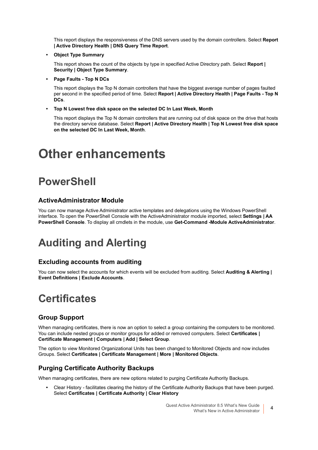This report displays the responsiveness of the DNS servers used by the domain controllers. Select **Report | Active Directory Health | DNS Query Time Report**.

**• Object Type Summary**

This report shows the count of the objects by type in specified Active Directory path. Select **Report | Security | Object Type Summary**.

**• Page Faults - Top N DCs** 

This report displays the Top N domain controllers that have the biggest average number of pages faulted per second in the specified period of time. Select **Report | Active Directory Health | Page Faults - Top N DCs**.

**• Top N Lowest free disk space on the selected DC In Last Week, Month**

This report displays the Top N domain controllers that are running out of disk space on the drive that hosts the directory service database. Select **Report | Active Directory Health | Top N Lowest free disk space on the selected DC In Last Week, Month**.

# <span id="page-5-0"></span>**Other enhancements**

# **PowerShell**

### **ActiveAdministrator Module**

You can now manage Active Administrator active templates and delegations using the Windows PowerShell interface. To open the PowerShell Console with the ActiveAdministrator module imported, select **Settings | AA PowerShell Console**. To display all cmdlets in the module, use **Get-Command -Module ActiveAdministrator**.

# **Auditing and Alerting**

### **Excluding accounts from auditing**

You can now select the accounts for which events will be excluded from auditing. Select **Auditing & Alerting** | **Event Definitions | Exclude Accounts**.

## **Certificates**

### **Group Support**

When managing certificates, there is now an option to select a group containing the computers to be monitored. You can include nested groups or monitor groups for added or removed computers. Select **Certificates | Certificate Management | Computers | Add | Select Group**.

The option to view Monitored Organizational Units has been changed to Monitored Objects and now includes Groups. Select **Certificates | Certificate Management | More | Monitored Objects**.

### **Purging Certificate Authority Backups**

When managing certificates, there are new options related to purging Certificate Authority Backups.

**•** Clear History - facilitates clearing the history of the Certificate Authority Backups that have been purged. Select **Certificates | Certificate Authority | Clear History**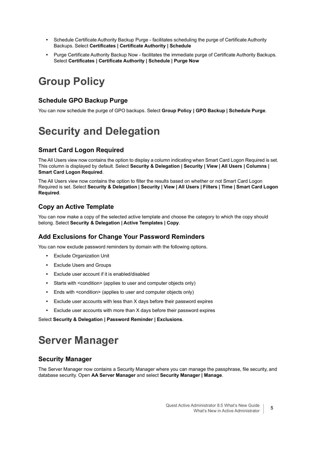- **•** Schedule Certificate Authority Backup Purge facilitates scheduling the purge of Certificate Authority Backups. Select **Certificates | Certificate Authority | Schedule**
- **•** Purge Certificate Authority Backup Now facilitates the immediate purge of Certificate Authority Backups. Select **Certificates | Certificate Authority | Schedule | Purge Now**

# **Group Policy**

#### **Schedule GPO Backup Purge**

You can now schedule the purge of GPO backups. Select **Group Policy | GPO Backup | Schedule Purge**.

# **Security and Delegation**

### **Smart Card Logon Required**

The All Users view now contains the option to display a column indicating when Smart Card Logon Required is set. This column is displayed by default. Select **Security & Delegation | Security | View | All Users | Columns | Smart Card Logon Required**.

The All Users view now contains the option to filter the results based on whether or not Smart Card Logon Required is set. Select **Security & Delegation | Security | View | All Users | Filters | Time | Smart Card Logon Required**.

### **Copy an Active Template**

You can now make a copy of the selected active template and choose the category to which the copy should belong. Select **Security & Delegation | Active Templates | Copy**.

### **Add Exclusions for Change Your Password Reminders**

You can now exclude password reminders by domain with the following options.

- **•** Exclude Organization Unit
- **•** Exclude Users and Groups
- **•** Exclude user account if it is enabled/disabled
- **•** Starts with <condition> (applies to user and computer objects only)
- **•** Ends with <condition> (applies to user and computer objects only)
- **•** Exclude user accounts with less than X days before their password expires
- **•** Exclude user accounts with more than X days before their password expires

Select **Security & Delegation | Password Reminder | Exclusions**.

## **Server Manager**

#### **Security Manager**

The Server Manager now contains a Security Manager where you can manage the passphrase, file security, and database security. Open **AA Server Manager** and select **Security Manager | Manage**.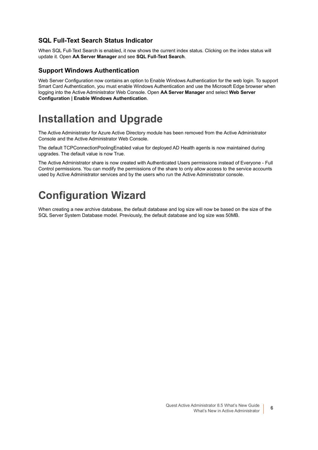### **SQL Full-Text Search Status Indicator**

When SQL Full-Text Search is enabled, it now shows the current index status. Clicking on the index status will update it. Open **AA Server Manager** and see **SQL Full-Text Search**.

#### **Support Windows Authentication**

Web Server Configuration now contains an option to Enable Windows Authentication for the web login. To support Smart Card Authentication, you must enable Windows Authentication and use the Microsoft Edge browser when logging into the Active Administrator Web Console. Open **AA Server Manager** and select **Web Server Configuration | Enable Windows Authentication**.

## **Installation and Upgrade**

The Active Administrator for Azure Active Directory module has been removed from the Active Administrator Console and the Active Administrator Web Console.

The default TCPConnectionPoolingEnabled value for deployed AD Health agents is now maintained during upgrades. The default value is now True.

The Active Administrator share is now created with Authenticated Users permissions instead of Everyone - Full Control permissions. You can modify the permissions of the share to only allow access to the service accounts used by Active Administrator services and by the users who run the Active Administrator console.

# **Configuration Wizard**

When creating a new archive database, the default database and log size will now be based on the size of the SQL Server System Database model. Previously, the default database and log size was 50MB.